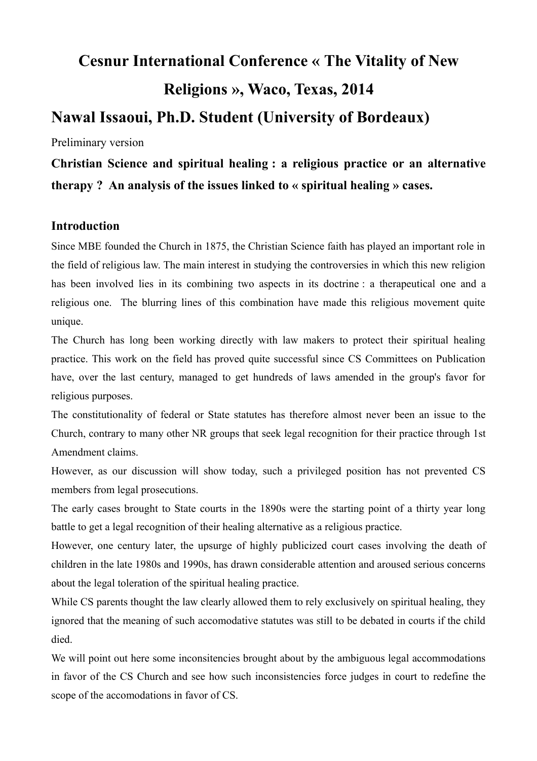# **Cesnur International Conference « The Vitality of New Religions », Waco, Texas, 2014**

# **Nawal Issaoui, Ph.D. Student (University of Bordeaux)**

Preliminary version

**Christian Science and spiritual healing : a religious practice or an alternative therapy ? An analysis of the issues linked to « spiritual healing » cases.**

## **Introduction**

Since MBE founded the Church in 1875, the Christian Science faith has played an important role in the field of religious law. The main interest in studying the controversies in which this new religion has been involved lies in its combining two aspects in its doctrine : a therapeutical one and a religious one. The blurring lines of this combination have made this religious movement quite unique.

The Church has long been working directly with law makers to protect their spiritual healing practice. This work on the field has proved quite successful since CS Committees on Publication have, over the last century, managed to get hundreds of laws amended in the group's favor for religious purposes.

The constitutionality of federal or State statutes has therefore almost never been an issue to the Church, contrary to many other NR groups that seek legal recognition for their practice through 1st Amendment claims.

However, as our discussion will show today, such a privileged position has not prevented CS members from legal prosecutions.

The early cases brought to State courts in the 1890s were the starting point of a thirty year long battle to get a legal recognition of their healing alternative as a religious practice.

However, one century later, the upsurge of highly publicized court cases involving the death of children in the late 1980s and 1990s, has drawn considerable attention and aroused serious concerns about the legal toleration of the spiritual healing practice.

While CS parents thought the law clearly allowed them to rely exclusively on spiritual healing, they ignored that the meaning of such accomodative statutes was still to be debated in courts if the child died.

We will point out here some inconsitencies brought about by the ambiguous legal accommodations in favor of the CS Church and see how such inconsistencies force judges in court to redefine the scope of the accomodations in favor of CS.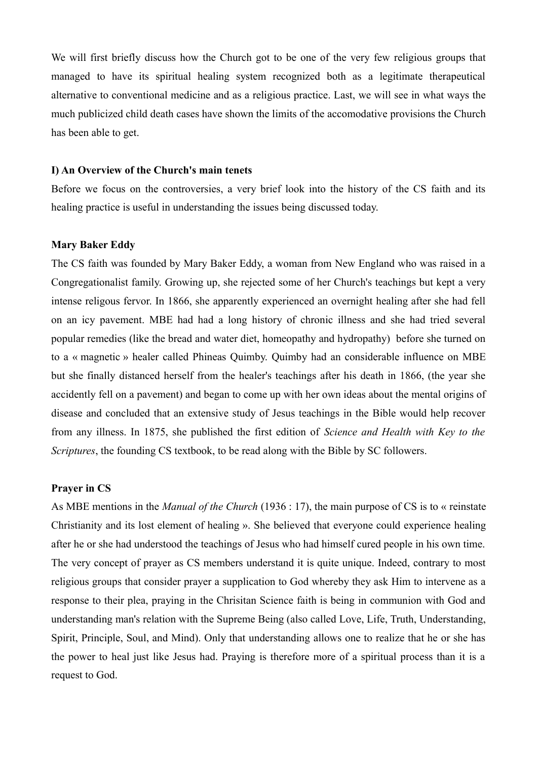We will first briefly discuss how the Church got to be one of the very few religious groups that managed to have its spiritual healing system recognized both as a legitimate therapeutical alternative to conventional medicine and as a religious practice. Last, we will see in what ways the much publicized child death cases have shown the limits of the accomodative provisions the Church has been able to get.

#### **I) An Overview of the Church's main tenets**

Before we focus on the controversies, a very brief look into the history of the CS faith and its healing practice is useful in understanding the issues being discussed today.

#### **Mary Baker Eddy**

The CS faith was founded by Mary Baker Eddy, a woman from New England who was raised in a Congregationalist family. Growing up, she rejected some of her Church's teachings but kept a very intense religous fervor. In 1866, she apparently experienced an overnight healing after she had fell on an icy pavement. MBE had had a long history of chronic illness and she had tried several popular remedies (like the bread and water diet, homeopathy and hydropathy) before she turned on to a « magnetic » healer called Phineas Quimby. Quimby had an considerable influence on MBE but she finally distanced herself from the healer's teachings after his death in 1866, (the year she accidently fell on a pavement) and began to come up with her own ideas about the mental origins of disease and concluded that an extensive study of Jesus teachings in the Bible would help recover from any illness. In 1875, she published the first edition of *Science and Health with Key to the Scriptures*, the founding CS textbook, to be read along with the Bible by SC followers.

#### **Prayer in CS**

As MBE mentions in the *Manual of the Church* (1936 : 17), the main purpose of CS is to « reinstate Christianity and its lost element of healing ». She believed that everyone could experience healing after he or she had understood the teachings of Jesus who had himself cured people in his own time. The very concept of prayer as CS members understand it is quite unique. Indeed, contrary to most religious groups that consider prayer a supplication to God whereby they ask Him to intervene as a response to their plea, praying in the Chrisitan Science faith is being in communion with God and understanding man's relation with the Supreme Being (also called Love, Life, Truth, Understanding, Spirit, Principle, Soul, and Mind). Only that understanding allows one to realize that he or she has the power to heal just like Jesus had. Praying is therefore more of a spiritual process than it is a request to God.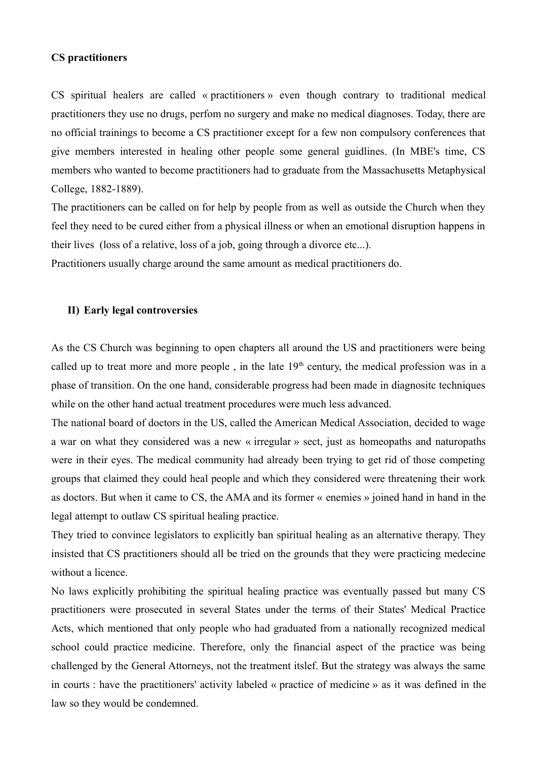#### **CS practitioners**

CS spiritual healers are called « practitioners » even though contrary to traditional medical practitioners they use no drugs, perfom no surgery and make no medical diagnoses. Today, there are no official trainings to become a CS practitioner except for a few non compulsory conferences that give members interested in healing other people some general guidlines. (In MBE's time, CS members who wanted to become practitioners had to graduate from the Massachusetts Metaphysical College, 1882-1889).

The practitioners can be called on for help by people from as well as outside the Church when they feel they need to be cured either from a physical illness or when an emotional disruption happens in their lives (loss of a relative, loss of a job, going through a divorce etc...).

Practitioners usually charge around the same amount as medical practitioners do.

#### **II) Early legal controversies**

As the CS Church was beginning to open chapters all around the US and practitioners were being called up to treat more and more people, in the late  $19<sup>th</sup>$  century, the medical profession was in a phase of transition. On the one hand, considerable progress had been made in diagnositc techniques while on the other hand actual treatment procedures were much less advanced.

The national board of doctors in the US, called the American Medical Association, decided to wage a war on what they considered was a new « irregular » sect, just as homeopaths and naturopaths were in their eyes. The medical community had already been trying to get rid of those competing groups that claimed they could heal people and which they considered were threatening their work as doctors. But when it came to CS, the AMA and its former « enemies » joined hand in hand in the legal attempt to outlaw CS spiritual healing practice.

They tried to convince legislators to explicitly ban spiritual healing as an alternative therapy. They insisted that CS practitioners should all be tried on the grounds that they were practicing medecine without a licence.

No laws explicitly prohibiting the spiritual healing practice was eventually passed but many CS practitioners were prosecuted in several States under the terms of their States' Medical Practice Acts, which mentioned that only people who had graduated from a nationally recognized medical school could practice medicine. Therefore, only the financial aspect of the practice was being challenged by the General Attorneys, not the treatment itslef. But the strategy was always the same in courts : have the practitioners' activity labeled « practice of medicine » as it was defined in the law so they would be condemned.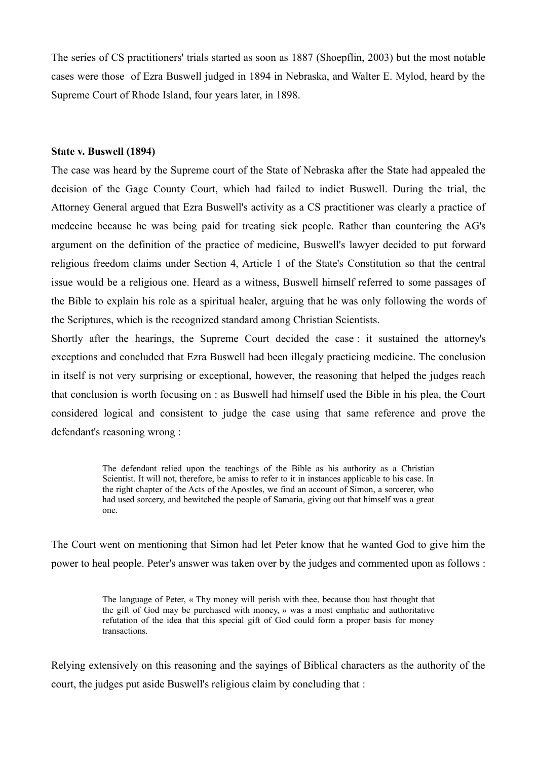The series of CS practitioners' trials started as soon as 1887 (Shoepflin, 2003) but the most notable cases were those of Ezra Buswell judged in 1894 in Nebraska, and Walter E. Mylod, heard by the Supreme Court of Rhode Island, four years later, in 1898.

#### **State v. Buswell (1894)**

The case was heard by the Supreme court of the State of Nebraska after the State had appealed the decision of the Gage County Court, which had failed to indict Buswell. During the trial, the Attorney General argued that Ezra Buswell's activity as a CS practitioner was clearly a practice of medecine because he was being paid for treating sick people. Rather than countering the AG's argument on the definition of the practice of medicine, Buswell's lawyer decided to put forward religious freedom claims under Section 4, Article 1 of the State's Constitution so that the central issue would be a religious one. Heard as a witness, Buswell himself referred to some passages of the Bible to explain his role as a spiritual healer, arguing that he was only following the words of the Scriptures, which is the recognized standard among Christian Scientists.

Shortly after the hearings, the Supreme Court decided the case : it sustained the attorney's exceptions and concluded that Ezra Buswell had been illegaly practicing medicine. The conclusion in itself is not very surprising or exceptional, however, the reasoning that helped the judges reach that conclusion is worth focusing on : as Buswell had himself used the Bible in his plea, the Court considered logical and consistent to judge the case using that same reference and prove the defendant's reasoning wrong :

> The defendant relied upon the teachings of the Bible as his authority as a Christian Scientist. It will not, therefore, be amiss to refer to it in instances applicable to his case. In the right chapter of the Acts of the Apostles, we find an account of Simon, a sorcerer, who had used sorcery, and bewitched the people of Samaria, giving out that himself was a great one.

The Court went on mentioning that Simon had let Peter know that he wanted God to give him the power to heal people. Peter's answer was taken over by the judges and commented upon as follows :

> The language of Peter, « Thy money will perish with thee, because thou hast thought that the gift of God may be purchased with money, » was a most emphatic and authoritative refutation of the idea that this special gift of God could form a proper basis for money transactions.

Relying extensively on this reasoning and the sayings of Biblical characters as the authority of the court, the judges put aside Buswell's religious claim by concluding that :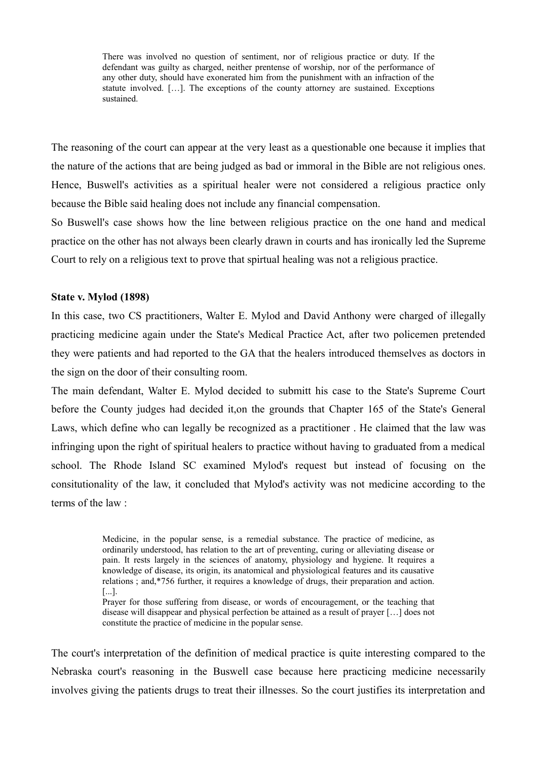There was involved no question of sentiment, nor of religious practice or duty. If the defendant was guilty as charged, neither prentense of worship, nor of the performance of any other duty, should have exonerated him from the punishment with an infraction of the statute involved. […]. The exceptions of the county attorney are sustained. Exceptions sustained.

The reasoning of the court can appear at the very least as a questionable one because it implies that the nature of the actions that are being judged as bad or immoral in the Bible are not religious ones. Hence, Buswell's activities as a spiritual healer were not considered a religious practice only because the Bible said healing does not include any financial compensation.

So Buswell's case shows how the line between religious practice on the one hand and medical practice on the other has not always been clearly drawn in courts and has ironically led the Supreme Court to rely on a religious text to prove that spirtual healing was not a religious practice.

#### **State v. Mylod (1898)**

In this case, two CS practitioners, Walter E. Mylod and David Anthony were charged of illegally practicing medicine again under the State's Medical Practice Act, after two policemen pretended they were patients and had reported to the GA that the healers introduced themselves as doctors in the sign on the door of their consulting room.

The main defendant, Walter E. Mylod decided to submitt his case to the State's Supreme Court before the County judges had decided it,on the grounds that Chapter 165 of the State's General Laws, which define who can legally be recognized as a practitioner . He claimed that the law was infringing upon the right of spiritual healers to practice without having to graduated from a medical school. The Rhode Island SC examined Mylod's request but instead of focusing on the consitutionality of the law, it concluded that Mylod's activity was not medicine according to the terms of the law :

> Medicine, in the popular sense, is a remedial substance. The practice of medicine, as ordinarily understood, has relation to the art of preventing, curing or alleviating disease or pain. It rests largely in the sciences of anatomy, physiology and hygiene. It requires a knowledge of disease, its origin, its anatomical and physiological features and its causative relations ; and,\*756 further, it requires a knowledge of drugs, their preparation and action. [...].

> Prayer for those suffering from disease, or words of encouragement, or the teaching that disease will disappear and physical perfection be attained as a result of prayer […] does not constitute the practice of medicine in the popular sense.

The court's interpretation of the definition of medical practice is quite interesting compared to the Nebraska court's reasoning in the Buswell case because here practicing medicine necessarily involves giving the patients drugs to treat their illnesses. So the court justifies its interpretation and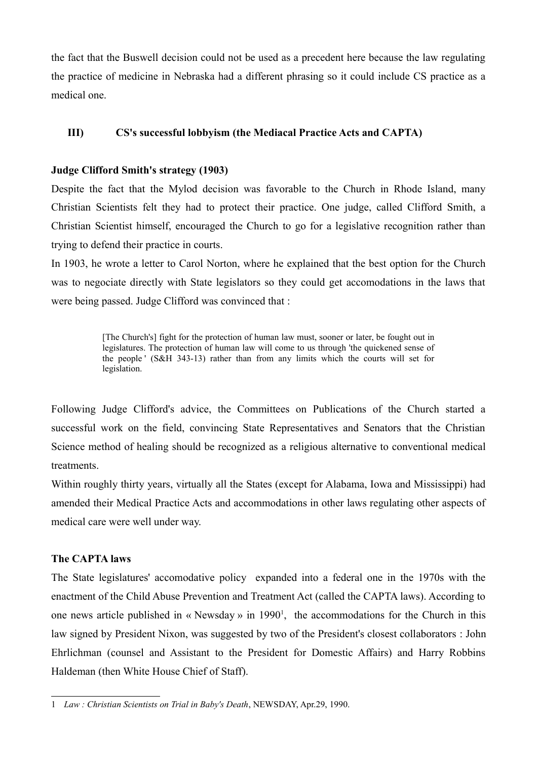the fact that the Buswell decision could not be used as a precedent here because the law regulating the practice of medicine in Nebraska had a different phrasing so it could include CS practice as a medical one.

### **III) CS's successful lobbyism (the Mediacal Practice Acts and CAPTA)**

#### **Judge Clifford Smith's strategy (1903)**

Despite the fact that the Mylod decision was favorable to the Church in Rhode Island, many Christian Scientists felt they had to protect their practice. One judge, called Clifford Smith, a Christian Scientist himself, encouraged the Church to go for a legislative recognition rather than trying to defend their practice in courts.

In 1903, he wrote a letter to Carol Norton, where he explained that the best option for the Church was to negociate directly with State legislators so they could get accomodations in the laws that were being passed. Judge Clifford was convinced that :

> [The Church's] fight for the protection of human law must, sooner or later, be fought out in legislatures. The protection of human law will come to us through 'the quickened sense of the people ' (S&H 343-13) rather than from any limits which the courts will set for legislation.

Following Judge Clifford's advice, the Committees on Publications of the Church started a successful work on the field, convincing State Representatives and Senators that the Christian Science method of healing should be recognized as a religious alternative to conventional medical treatments.

Within roughly thirty years, virtually all the States (except for Alabama, Iowa and Mississippi) had amended their Medical Practice Acts and accommodations in other laws regulating other aspects of medical care were well under way.

# **The CAPTA laws**

The State legislatures' accomodative policy expanded into a federal one in the 1970s with the enactment of the Child Abuse Prevention and Treatment Act (called the CAPTA laws). According to one news article published in « Newsday » in 1990<sup>1</sup>, the accommodations for the Church in this law signed by President Nixon, was suggested by two of the President's closest collaborators : John Ehrlichman (counsel and Assistant to the President for Domestic Affairs) and Harry Robbins Haldeman (then White House Chief of Staff).

<span id="page-5-0"></span><sup>1</sup> *Law : Christian Scientists on Trial in Baby's Death*, NEWSDAY, Apr.29, 1990.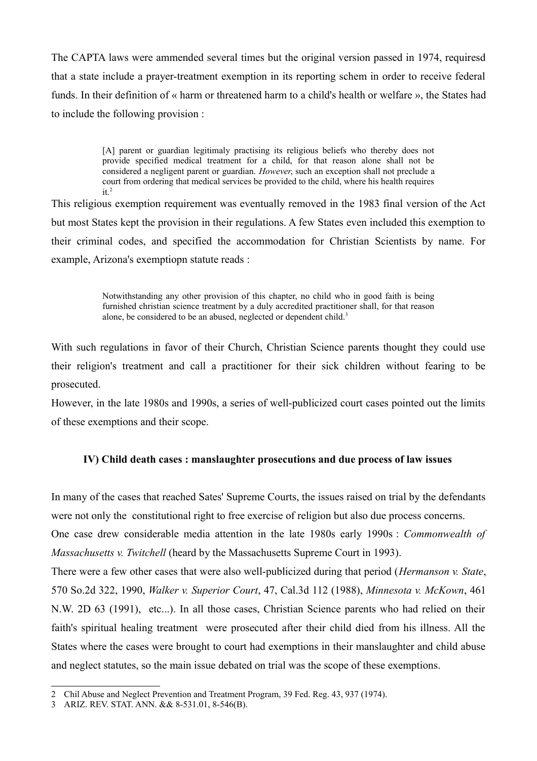The CAPTA laws were ammended several times but the original version passed in 1974, requiresd that a state include a prayer-treatment exemption in its reporting schem in order to receive federal funds. In their definition of « harm or threatened harm to a child's health or welfare », the States had to include the following provision :

> [A] parent or guardian legitimaly practising its religious beliefs who thereby does not provide specified medical treatment for a child, for that reason alone shall not be considered a negligent parent or guardian. *However*, such an exception shall not preclude a court from ordering that medical services be provided to the child, where his health requires  $it.<sup>2</sup>$

This religious exemption requirement was eventually removed in the 1983 final version of the Act but most States kept the provision in their regulations. A few States even included this exemption to their criminal codes, and specified the accommodation for Christian Scientists by name. For example, Arizona's exemptiopn statute reads :

> Notwithstanding any other provision of this chapter, no child who in good faith is being furnished christian science treatment by a duly accredited practitioner shall, for that reason alone, be considered to be an abused, neglected or dependent child.<sup>3</sup>

With such regulations in favor of their Church, Christian Science parents thought they could use their religion's treatment and call a practitioner for their sick children without fearing to be prosecuted.

However, in the late 1980s and 1990s, a series of well-publicized court cases pointed out the limits of these exemptions and their scope.

# **IV) Child death cases : manslaughter prosecutions and due process of law issues**

In many of the cases that reached Sates' Supreme Courts, the issues raised on trial by the defendants were not only the constitutional right to free exercise of religion but also due process concerns.

One case drew considerable media attention in the late 1980s early 1990s : *Commonwealth of Massachusetts v. Twitchell* (heard by the Massachusetts Supreme Court in 1993).

There were a few other cases that were also well-publicized during that period (*Hermanson v. State*, 570 So.2d 322, 1990, *Walker v. Superior Court*, 47, Cal.3d 112 (1988), *Minnesota v. McKown*, 461 N.W. 2D 63 (1991), etc...). In all those cases, Christian Science parents who had relied on their faith's spiritual healing treatment were prosecuted after their child died from his illness. All the States where the cases were brought to court had exemptions in their manslaughter and child abuse and neglect statutes, so the main issue debated on trial was the scope of these exemptions.

<span id="page-6-0"></span><sup>2</sup> Chil Abuse and Neglect Prevention and Treatment Program, 39 Fed. Reg. 43, 937 (1974).

<span id="page-6-1"></span><sup>3</sup> ARIZ. REV. STAT. ANN. && 8-531.01, 8-546(B).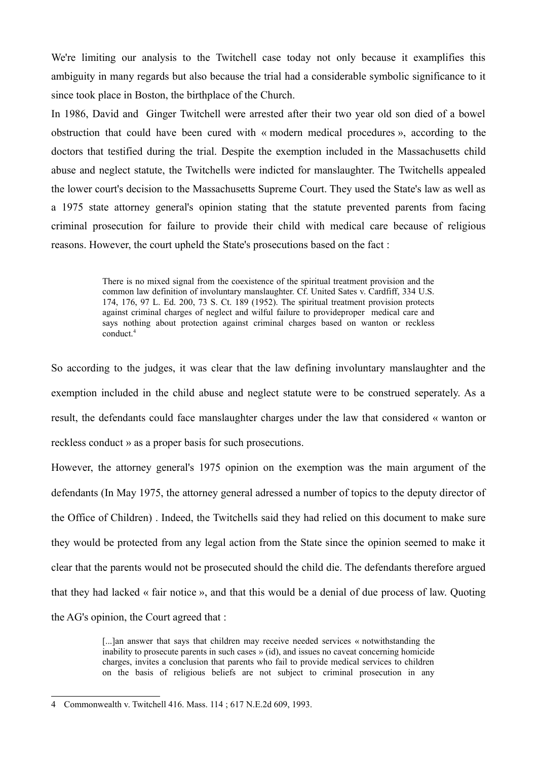We're limiting our analysis to the Twitchell case today not only because it examplifies this ambiguity in many regards but also because the trial had a considerable symbolic significance to it since took place in Boston, the birthplace of the Church.

In 1986, David and Ginger Twitchell were arrested after their two year old son died of a bowel obstruction that could have been cured with « modern medical procedures », according to the doctors that testified during the trial. Despite the exemption included in the Massachusetts child abuse and neglect statute, the Twitchells were indicted for manslaughter. The Twitchells appealed the lower court's decision to the Massachusetts Supreme Court. They used the State's law as well as a 1975 state attorney general's opinion stating that the statute prevented parents from facing criminal prosecution for failure to provide their child with medical care because of religious reasons. However, the court upheld the State's prosecutions based on the fact :

> There is no mixed signal from the coexistence of the spiritual treatment provision and the common law definition of involuntary manslaughter. Cf. United Sates v. Cardfiff, 334 U.S. 174, 176, 97 L. Ed. 200, 73 S. Ct. 189 (1952). The spiritual treatment provision protects against criminal charges of neglect and wilful failure to provideproper medical care and says nothing about protection against criminal charges based on wanton or reckless conduct.<sup>4</sup>

So according to the judges, it was clear that the law defining involuntary manslaughter and the exemption included in the child abuse and neglect statute were to be construed seperately. As a result, the defendants could face manslaughter charges under the law that considered « wanton or reckless conduct » as a proper basis for such prosecutions.

However, the attorney general's 1975 opinion on the exemption was the main argument of the defendants (In May 1975, the attorney general adressed a number of topics to the deputy director of the Office of Children) . Indeed, the Twitchells said they had relied on this document to make sure they would be protected from any legal action from the State since the opinion seemed to make it clear that the parents would not be prosecuted should the child die. The defendants therefore argued that they had lacked « fair notice », and that this would be a denial of due process of law. Quoting the AG's opinion, the Court agreed that :

> [...]an answer that says that children may receive needed services « notwithstanding the inability to prosecute parents in such cases » (id), and issues no caveat concerning homicide charges, invites a conclusion that parents who fail to provide medical services to children on the basis of religious beliefs are not subject to criminal prosecution in any

<span id="page-7-0"></span><sup>4</sup> Commonwealth v. Twitchell 416. Mass. 114 ; 617 N.E.2d 609, 1993.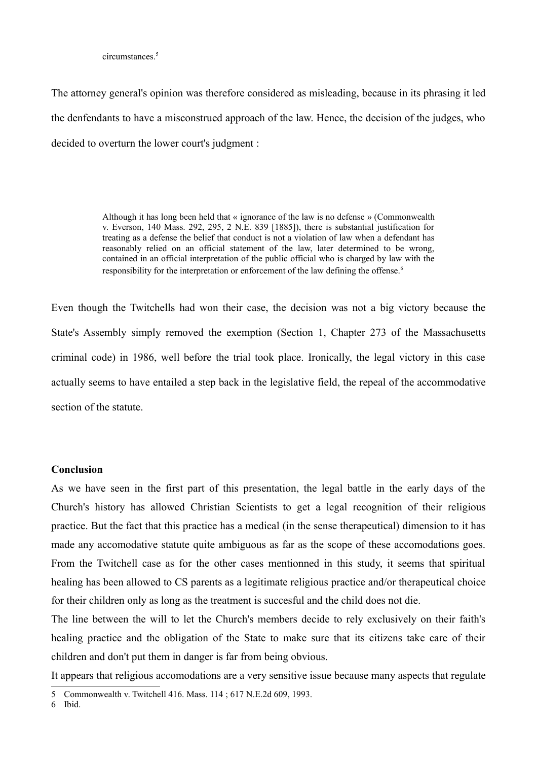circumstances<sup>5</sup>

The attorney general's opinion was therefore considered as misleading, because in its phrasing it led the denfendants to have a misconstrued approach of the law. Hence, the decision of the judges, who decided to overturn the lower court's judgment :

> Although it has long been held that « ignorance of the law is no defense » (Commonwealth v. Everson, 140 Mass. 292, 295, 2 N.E. 839 [1885]), there is substantial justification for treating as a defense the belief that conduct is not a violation of law when a defendant has reasonably relied on an official statement of the law, later determined to be wrong, contained in an official interpretation of the public official who is charged by law with the responsibility for the interpretation or enforcement of the law defining the offense.<sup>6</sup>

Even though the Twitchells had won their case, the decision was not a big victory because the State's Assembly simply removed the exemption (Section 1, Chapter 273 of the Massachusetts criminal code) in 1986, well before the trial took place. Ironically, the legal victory in this case actually seems to have entailed a step back in the legislative field, the repeal of the accommodative section of the statute.

#### **Conclusion**

As we have seen in the first part of this presentation, the legal battle in the early days of the Church's history has allowed Christian Scientists to get a legal recognition of their religious practice. But the fact that this practice has a medical (in the sense therapeutical) dimension to it has made any accomodative statute quite ambiguous as far as the scope of these accomodations goes. From the Twitchell case as for the other cases mentionned in this study, it seems that spiritual healing has been allowed to CS parents as a legitimate religious practice and/or therapeutical choice for their children only as long as the treatment is succesful and the child does not die.

The line between the will to let the Church's members decide to rely exclusively on their faith's healing practice and the obligation of the State to make sure that its citizens take care of their children and don't put them in danger is far from being obvious.

It appears that religious accomodations are a very sensitive issue because many aspects that regulate

<span id="page-8-0"></span><sup>5</sup> Commonwealth v. Twitchell 416. Mass. 114 ; 617 N.E.2d 609, 1993.

<span id="page-8-1"></span><sup>6</sup> Ibid.